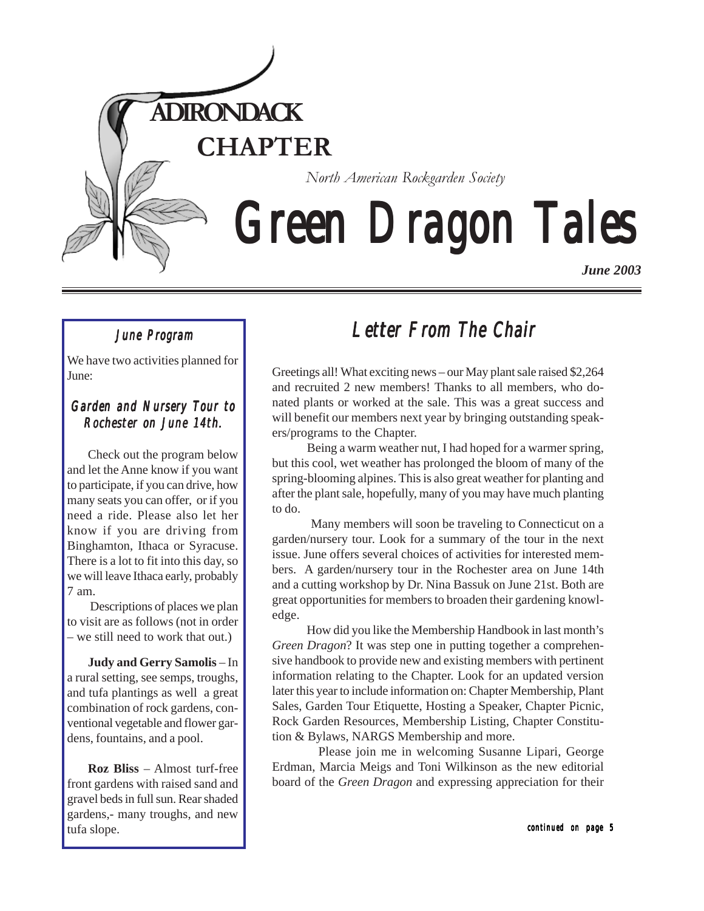

# *Green Dragon Tales Green Dragon Tales Green Dragon Tales*

*June 2003*

## *June Program*

We have two activities planned for June:

## *Garden and Nursery Tour to Garden and Nursery Tour to Rochester on June 14th. on 14th.*

Check out the program below and let the Anne know if you want to participate, if you can drive, how many seats you can offer, or if you need a ride. Please also let her know if you are driving from Binghamton, Ithaca or Syracuse. There is a lot to fit into this day, so we will leave Ithaca early, probably 7 am.

 Descriptions of places we plan to visit are as follows (not in order – we still need to work that out.)

**Judy and Gerry Samolis** – In a rural setting, see semps, troughs, and tufa plantings as well a great combination of rock gardens, conventional vegetable and flower gardens, fountains, and a pool.

**Roz Bliss** – Almost turf-free front gardens with raised sand and gravel beds in full sun. Rear shaded gardens,- many troughs, and new tufa slope.

## *Letter From The Chair From The*

Greetings all! What exciting news – our May plant sale raised \$2,264 and recruited 2 new members! Thanks to all members, who donated plants or worked at the sale. This was a great success and will benefit our members next year by bringing outstanding speakers/programs to the Chapter.

 Being a warm weather nut, I had hoped for a warmer spring, but this cool, wet weather has prolonged the bloom of many of the spring-blooming alpines. This is also great weather for planting and after the plant sale, hopefully, many of you may have much planting to do.

 Many members will soon be traveling to Connecticut on a garden/nursery tour. Look for a summary of the tour in the next issue. June offers several choices of activities for interested members. A garden/nursery tour in the Rochester area on June 14th and a cutting workshop by Dr. Nina Bassuk on June 21st. Both are great opportunities for members to broaden their gardening knowledge.

 How did you like the Membership Handbook in last month's *Green Dragon*? It was step one in putting together a comprehensive handbook to provide new and existing members with pertinent information relating to the Chapter. Look for an updated version later this year to include information on: Chapter Membership, Plant Sales, Garden Tour Etiquette, Hosting a Speaker, Chapter Picnic, Rock Garden Resources, Membership Listing, Chapter Constitution & Bylaws, NARGS Membership and more.

 Please join me in welcoming Susanne Lipari, George Erdman, Marcia Meigs and Toni Wilkinson as the new editorial board of the *Green Dragon* and expressing appreciation for their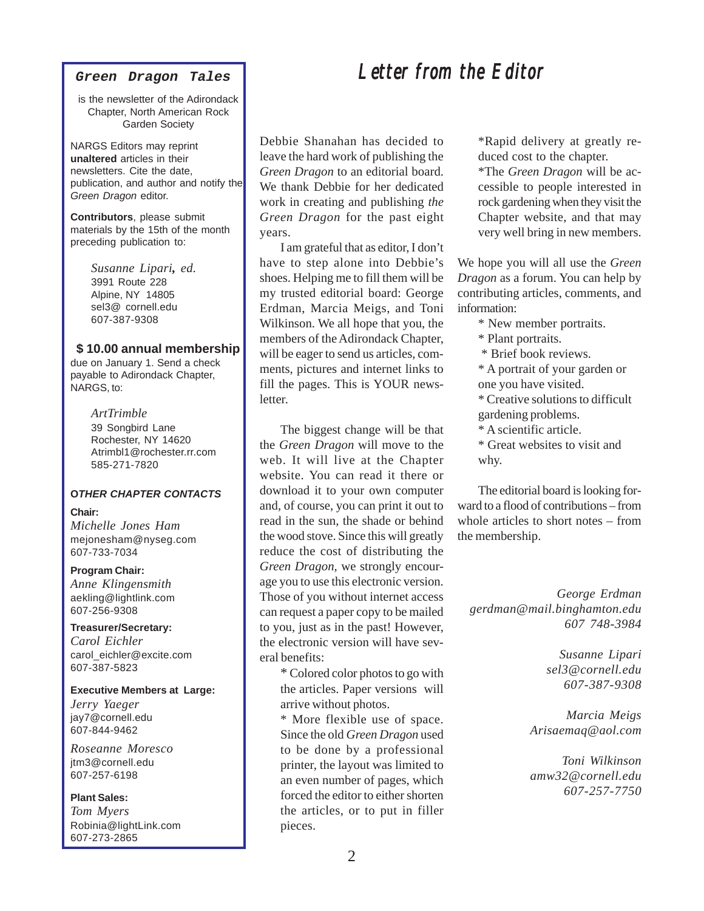#### **Green Dragon Tales**

is the newsletter of the Adirondack Chapter, North American Rock Garden Society

NARGS Editors may reprint **unaltered** articles in their newsletters. Cite the date, publication, and author and notify the Green Dragon editor.

**Contributors**, please submit materials by the 15th of the month preceding publication to:

> *Susanne Lipari, ed.* 3991 Route 228 Alpine, NY 14805 sel3@ cornell.edu 607-387-9308

### **\$ 10.00 annual membership**

due on January 1. Send a check payable to Adirondack Chapter, NARGS, to:

#### *ArtTrimble*

39 Songbird Lane Rochester, NY 14620 Atrimbl1@rochester.rr.com 585-271-7820

## **OTHER CHAPTER CONTACTS**

## **Chair:**

*Michelle Jones Ham* mejonesham@nyseg.com 607-733-7034

## **Program Chair:**

*Anne Klingensmith* aekling@lightlink.com 607-256-9308

## **Treasurer/Secretary:**

*Carol Eichler* carol\_eichler@excite.com 607-387-5823

### **Executive Members at Large:**

*Jerry Yaeger* jay7@cornell.edu 607-844-9462

*Roseanne Moresco* jtm3@cornell.edu 607-257-6198

#### **Plant Sales:**

*Tom Myers* Robinia@lightLink.com 607-273-2865

Debbie Shanahan has decided to leave the hard work of publishing the *Green Dragon* to an editorial board. We thank Debbie for her dedicated work in creating and publishing *the Green Dragon* for the past eight years.

I am grateful that as editor, I don't have to step alone into Debbie's shoes. Helping me to fill them will be my trusted editorial board: George Erdman, Marcia Meigs, and Toni Wilkinson. We all hope that you, the members of the Adirondack Chapter, will be eager to send us articles, comments, pictures and internet links to fill the pages. This is YOUR newsletter.

The biggest change will be that the *Green Dragon* will move to the web. It will live at the Chapter website. You can read it there or download it to your own computer and, of course, you can print it out to read in the sun, the shade or behind the wood stove. Since this will greatly reduce the cost of distributing the *Green Dragon*, we strongly encourage you to use this electronic version. Those of you without internet access can request a paper copy to be mailed to you, just as in the past! However, the electronic version will have several benefits:

\* Colored color photos to go with the articles. Paper versions will arrive without photos.

\* More flexible use of space. Since the old *Green Dragon* used to be done by a professional printer, the layout was limited to an even number of pages, which forced the editor to either shorten the articles, or to put in filler pieces.

\*Rapid delivery at greatly reduced cost to the chapter.

\*The *Green Dragon* will be accessible to people interested in rock gardening when they visit the Chapter website, and that may very well bring in new members.

We hope you will all use the *Green Dragon* as a forum. You can help by contributing articles, comments, and information:

- \* New member portraits.
- \* Plant portraits.
- \* Brief book reviews.
- \* A portrait of your garden or one you have visited.

\* Creative solutions to difficult gardening problems.

- \* A scientific article.
- \* Great websites to visit and why.

The editorial board is looking forward to a flood of contributions – from whole articles to short notes – from the membership.

*George Erdman gerdman@mail.binghamton.edu 607 748-3984*

> *Susanne Lipari sel3@cornell.edu 607-387-9308*

*Marcia Meigs Arisaemaq@aol.com*

*Toni Wilkinson amw32@cornell.edu 607-257-7750*

## *Letter from the Editor Letter Editor*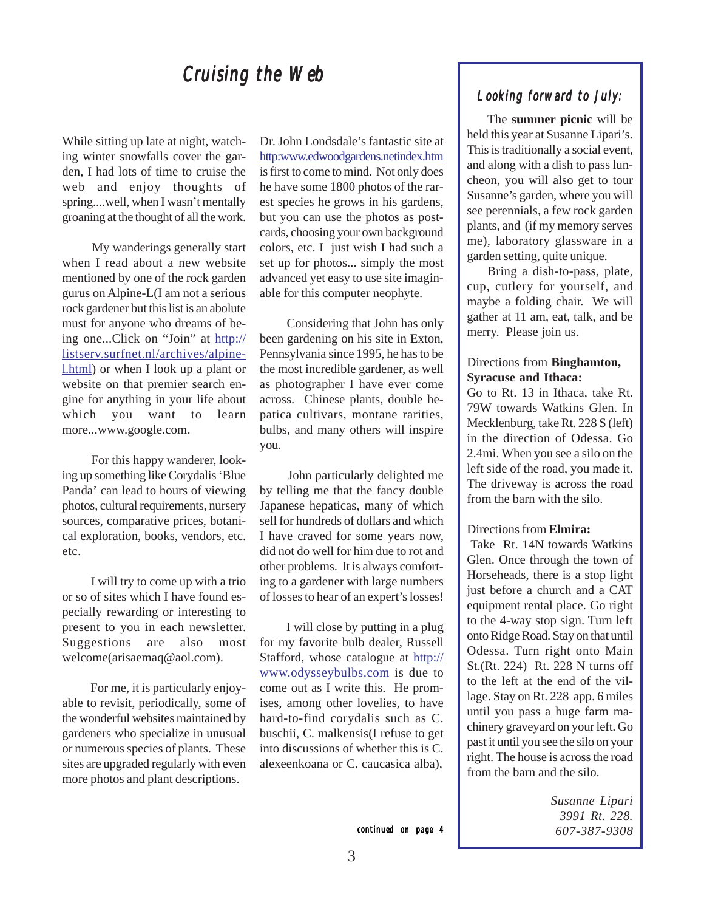## *Cruising the Web Cruising*

While sitting up late at night, watching winter snowfalls cover the garden, I had lots of time to cruise the web and enjoy thoughts of spring....well, when I wasn't mentally groaning at the thought of all the work.

 My wanderings generally start when I read about a new website mentioned by one of the rock garden gurus on Alpine-L(I am not a serious rock gardener but this list is an abolute must for anyone who dreams of being one...Click on "Join" at http:// listserv.surfnet.nl/archives/alpinel.html) or when I look up a plant or website on that premier search engine for anything in your life about which you want to learn more...www.google.com.

 For this happy wanderer, looking up something like Corydalis 'Blue Panda' can lead to hours of viewing photos, cultural requirements, nursery sources, comparative prices, botanical exploration, books, vendors, etc. etc.

 I will try to come up with a trio or so of sites which I have found especially rewarding or interesting to present to you in each newsletter. Suggestions are also most welcome(arisaemaq@aol.com).

 For me, it is particularly enjoyable to revisit, periodically, some of the wonderful websites maintained by gardeners who specialize in unusual or numerous species of plants. These sites are upgraded regularly with even more photos and plant descriptions.

Dr. John Londsdale's fantastic site at http:www.edwoodgardens.netindex.htm is first to come to mind. Not only does he have some 1800 photos of the rarest species he grows in his gardens, but you can use the photos as postcards, choosing your own background colors, etc. I just wish I had such a set up for photos... simply the most advanced yet easy to use site imaginable for this computer neophyte.

 Considering that John has only been gardening on his site in Exton, Pennsylvania since 1995, he has to be the most incredible gardener, as well as photographer I have ever come across. Chinese plants, double hepatica cultivars, montane rarities, bulbs, and many others will inspire you.

 John particularly delighted me by telling me that the fancy double Japanese hepaticas, many of which sell for hundreds of dollars and which I have craved for some years now, did not do well for him due to rot and other problems. It is always comforting to a gardener with large numbers of losses to hear of an expert's losses!

 I will close by putting in a plug for my favorite bulb dealer, Russell Stafford, whose catalogue at http:// www.odysseybulbs.com is due to come out as I write this. He promises, among other lovelies, to have hard-to-find corydalis such as C. buschii, C. malkensis(I refuse to get into discussions of whether this is C. alexeenkoana or C. caucasica alba),

## *Looking forward to July: Looking forward to July:*

The **summer picnic** will be held this year at Susanne Lipari's. This is traditionally a social event, and along with a dish to pass luncheon, you will also get to tour Susanne's garden, where you will see perennials, a few rock garden plants, and (if my memory serves me), laboratory glassware in a garden setting, quite unique.

Bring a dish-to-pass, plate, cup, cutlery for yourself, and maybe a folding chair. We will gather at 11 am, eat, talk, and be merry. Please join us.

## Directions from **Binghamton, Syracuse and Ithaca:**

Go to Rt. 13 in Ithaca, take Rt. 79W towards Watkins Glen. In Mecklenburg, take Rt. 228 S (left) in the direction of Odessa. Go 2.4mi. When you see a silo on the left side of the road, you made it. The driveway is across the road from the barn with the silo.

#### Directions from **Elmira:**

 Take Rt. 14N towards Watkins Glen. Once through the town of Horseheads, there is a stop light just before a church and a CAT equipment rental place. Go right to the 4-way stop sign. Turn left onto Ridge Road. Stay on that until Odessa. Turn right onto Main St.(Rt. 224) Rt. 228 N turns off to the left at the end of the village. Stay on Rt. 228 app. 6 miles until you pass a huge farm machinery graveyard on your left. Go past it until you see the silo on your right. The house is across the road from the barn and the silo.

> *Susanne Lipari 3991 Rt. 228. 607-387-9308*

*continued on page 4*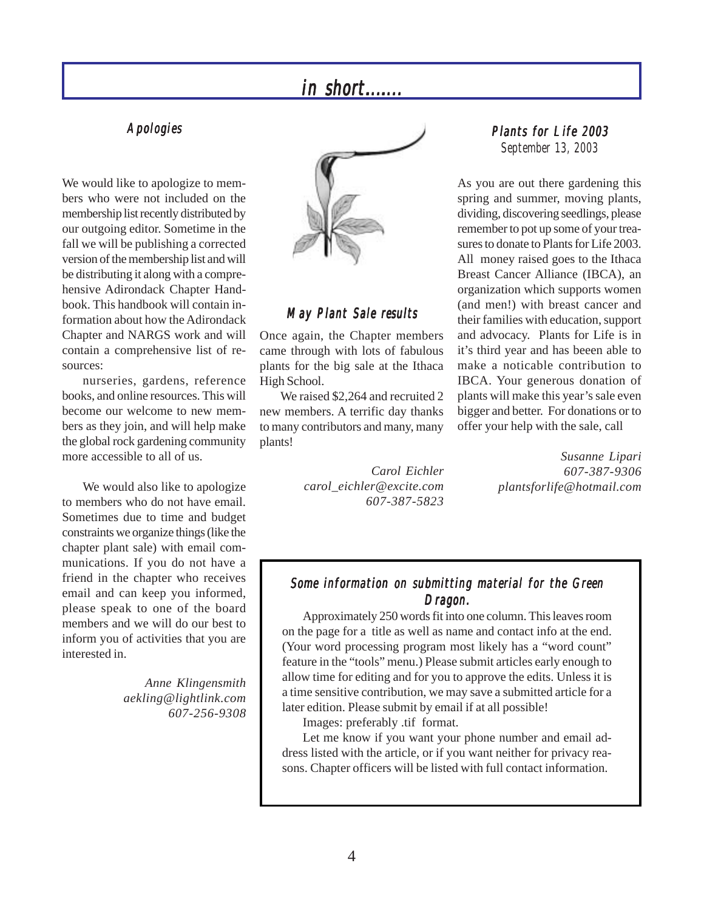## *Apologies Apologies*

We would like to apologize to members who were not included on the membership list recently distributed by our outgoing editor. Sometime in the fall we will be publishing a corrected version of the membership list and will be distributing it along with a comprehensive Adirondack Chapter Handbook. This handbook will contain information about how the Adirondack Chapter and NARGS work and will contain a comprehensive list of resources:

nurseries, gardens, reference books, and online resources. This will become our welcome to new members as they join, and will help make the global rock gardening community more accessible to all of us.

We would also like to apologize to members who do not have email. Sometimes due to time and budget constraints we organize things (like the chapter plant sale) with email communications. If you do not have a friend in the chapter who receives email and can keep you informed, please speak to one of the board members and we will do our best to inform you of activities that you are interested in.

> *Anne Klingensmith aekling@lightlink.com 607-256-9308*



## *May Plant Sale results Sale results*

Once again, the Chapter members came through with lots of fabulous plants for the big sale at the Ithaca High School.

We raised \$2,264 and recruited 2 new members. A terrific day thanks to many contributors and many, many plants!

> *Carol Eichler carol\_eichler@excite.com 607-387-5823*

## *Plants for Life 2003 September 13, 2003*

As you are out there gardening this spring and summer, moving plants, dividing, discovering seedlings, please remember to pot up some of your treasures to donate to Plants for Life 2003. All money raised goes to the Ithaca Breast Cancer Alliance (IBCA), an organization which supports women (and men!) with breast cancer and their families with education, support and advocacy. Plants for Life is in it's third year and has beeen able to make a noticable contribution to IBCA. Your generous donation of plants will make this year's sale even bigger and better. For donations or to offer your help with the sale, call

> *Susanne Lipari 607-387-9306 plantsforlife@hotmail.com*

## *Some information on submitting material for the Green Dragon. Dragon.*

Approximately 250 words fit into one column. This leaves room on the page for a title as well as name and contact info at the end. (Your word processing program most likely has a "word count" feature in the "tools" menu.) Please submit articles early enough to allow time for editing and for you to approve the edits. Unless it is a time sensitive contribution, we may save a submitted article for a later edition. Please submit by email if at all possible!

Images: preferably .tif format.

Let me know if you want your phone number and email address listed with the article, or if you want neither for privacy reasons. Chapter officers will be listed with full contact information.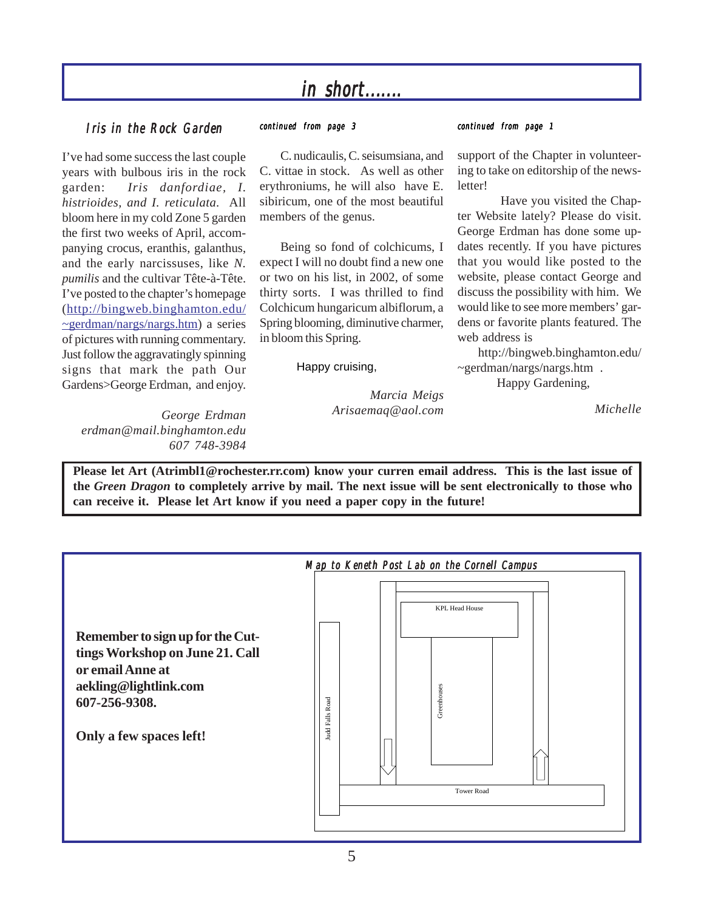## *in short....... short....... in short.......*

## *Iris in the Rock Garden continued from page 1*

I've had some success the last couple years with bulbous iris in the rock garden: *Iris danfordiae, I. histrioides, and I. reticulata.* All bloom here in my cold Zone 5 garden the first two weeks of April, accompanying crocus, eranthis, galanthus, and the early narcissuses, like *N. pumilis* and the cultivar Tête-à-Tête. I've posted to the chapter's homepage (http://bingweb.binghamton.edu/ ~gerdman/nargs/nargs.htm) a series of pictures with running commentary. Just follow the aggravatingly spinning signs that mark the path Our Gardens>George Erdman, and enjoy.

*continued from page 3*

C. nudicaulis, C. seisumsiana, and C. vittae in stock. As well as other erythroniums, he will also have E. sibiricum, one of the most beautiful members of the genus.

Being so fond of colchicums, I expect I will no doubt find a new one or two on his list, in 2002, of some thirty sorts. I was thrilled to find Colchicum hungaricum albiflorum, a Spring blooming, diminutive charmer, in bloom this Spring.

Happy cruising,

 *Marcia Meigs Arisaemaq@aol.com*

support of the Chapter in volunteering to take on editorship of the newsletter!

 Have you visited the Chapter Website lately? Please do visit. George Erdman has done some updates recently. If you have pictures that you would like posted to the website, please contact George and discuss the possibility with him. We would like to see more members' gardens or favorite plants featured. The web address is

http://bingweb.binghamton.edu/ ~gerdman/nargs/nargs.htm .

Happy Gardening,

*Michelle*

*George Erdman erdman@mail.binghamton.edu 607 748-3984*

**Please let Art (Atrimbl1@rochester.rr.com) know your curren email address. This is the last issue of the** *Green Dragon* **to completely arrive by mail. The next issue will be sent electronically to those who can receive it. Please let Art know if you need a paper copy in the future!**